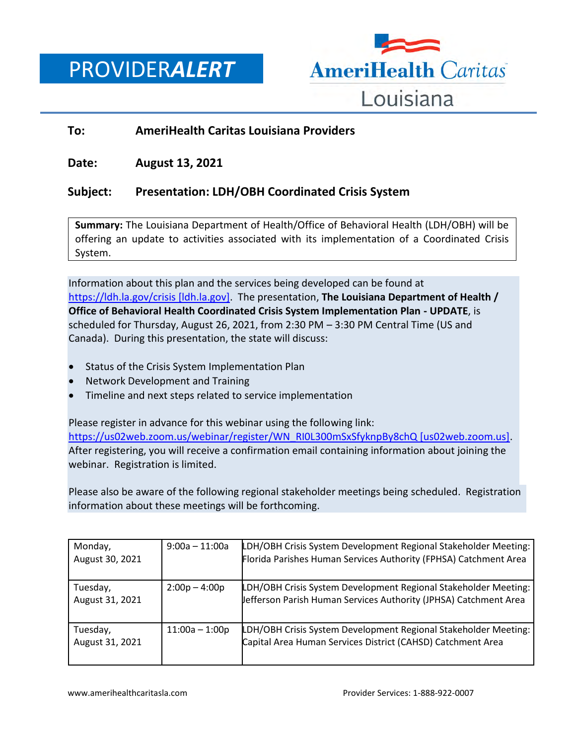PROVIDER*ALERT*



## **To: AmeriHealth Caritas Louisiana Providers**

**Date: August 13, 2021**

## **Subject: Presentation: LDH/OBH Coordinated Crisis System**

**Summary:** The Louisiana Department of Health/Office of Behavioral Health (LDH/OBH) will be offering an update to activities associated with its implementation of a Coordinated Crisis System.

Information about this plan and the services being developed can be found at [https://ldh.la.gov/crisis \[ldh.la.gov\].](https://urldefense.com/v3/__https:/ldh.la.gov/crisis__;!!E4aHFgIl6QUyrQ!qmwfYkwNaotApZjHXI2tRV6nzcLmzcPAukR5nTZatE-JitUgIXtkZTyr_bzb2X8pOMNF3W6BzA$) The presentation, **The Louisiana Department of Health / Office of Behavioral Health Coordinated Crisis System Implementation Plan - UPDATE**, is scheduled for Thursday, August 26, 2021, from 2:30 PM – 3:30 PM Central Time (US and Canada). During this presentation, the state will discuss:

- Status of the Crisis System Implementation Plan
- Network Development and Training
- Timeline and next steps related to service implementation

Please register in advance for this webinar using the following link: [https://us02web.zoom.us/webinar/register/WN\\_RI0L300mSxSfyknpBy8chQ \[us02web.zoom.us\].](https://urldefense.com/v3/__https:/us02web.zoom.us/webinar/register/WN_RI0L300mSxSfyknpBy8chQ__;!!E4aHFgIl6QUyrQ!qmwfYkwNaotApZjHXI2tRV6nzcLmzcPAukR5nTZatE-JitUgIXtkZTyr_bzb2X8pOMOCJNLeag$) After registering, you will receive a confirmation email containing information about joining the webinar. Registration is limited.

Please also be aware of the following regional stakeholder meetings being scheduled. Registration information about these meetings will be forthcoming.

| Monday,<br>August 30, 2021  | $9:00a - 11:00a$ | LDH/OBH Crisis System Development Regional Stakeholder Meeting:<br>Florida Parishes Human Services Authority (FPHSA) Catchment Area |
|-----------------------------|------------------|-------------------------------------------------------------------------------------------------------------------------------------|
| Tuesday,<br>August 31, 2021 | $2:00p - 4:00p$  | LDH/OBH Crisis System Development Regional Stakeholder Meeting:<br>Jefferson Parish Human Services Authority (JPHSA) Catchment Area |
| Tuesday,<br>August 31, 2021 | $11:00a - 1:00p$ | LDH/OBH Crisis System Development Regional Stakeholder Meeting:<br>Capital Area Human Services District (CAHSD) Catchment Area      |